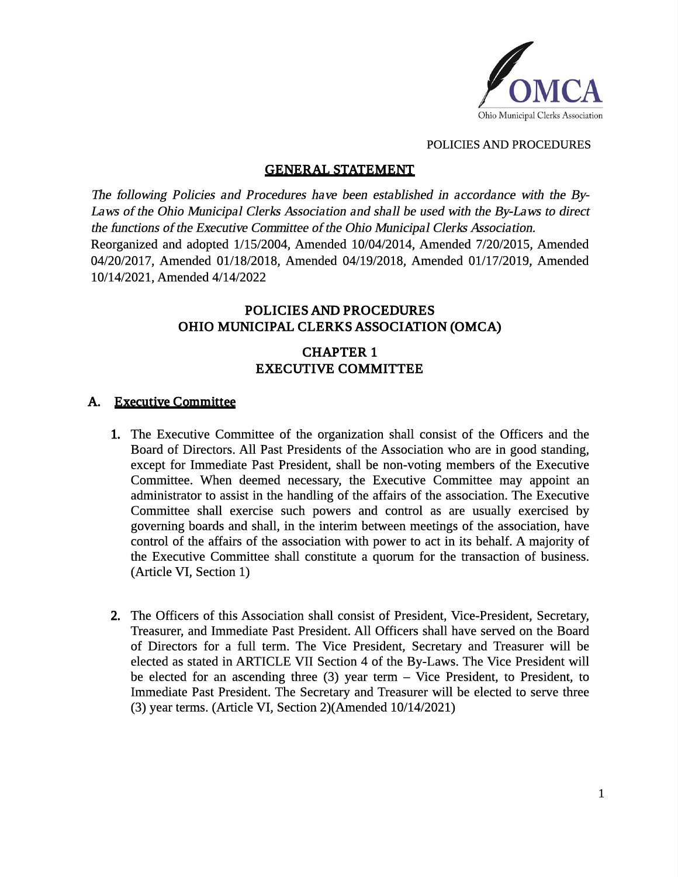

## GENERAL STATEMENT

The following Policies and Procedures have been established in accordance with the By-Laws of the Ohio Municipal Clerks Association and shall be used with the By-Laws to direct the functions of the Executive Committee of the Ohio Municipal Clerks Association. Reorganized and adopted 1/15/2004, Amended 10/04/2014, Amended 7/20/2015, Amended 04/20/2017, Amended 01/18/2018, Amended 04/19/2018, Amended 01/17/2019, Amended 10/14/2021, Amended 4/14/2022

# POLICIES AND PROCEDURES OHIO MUNICIPAL CLERKS ASSOCIATION (OMCA)

## CHAPTER 1 EXECUTIVE COMMITTEE

## A. Executive Committee

- 1. The Executive Committee of the organization shall consist of the Officers and the Board of Directors. All Past Presidents of the Association who are in good standing, except for Immediate Past President, shall be non-voting members of the Executive Committee. When deemed necessary, the Executive Committee may appoint an administrator to assist in the handling of the affairs of the association. The Executive Committee shall exercise such powers and control as are usually exercised by governing boards and shall, in the interim between meetings of the association, have control of the affairs of the association with power to act in its behalf. A majority of the Executive Committee shall constitute a quorum for the transaction of business. (Article VI, Section 1)
- 2. The Officers of this Association shall consist of President, Vice-President, Secretary, Treasurer, and Immediate Past President. All Officers shall have served on the Board of Directors for a full term. The Vice President, Secretary and Treasurer will be elected as stated in ARTICLE VII Section 4 of the By-Laws. The Vice President will be elected for an ascending three (3) year term – Vice President, to President, to Immediate Past President. The Secretary and Treasurer will be elected to serve three (3) year terms. (Article VI, Section 2)(Amended 10/14/2021)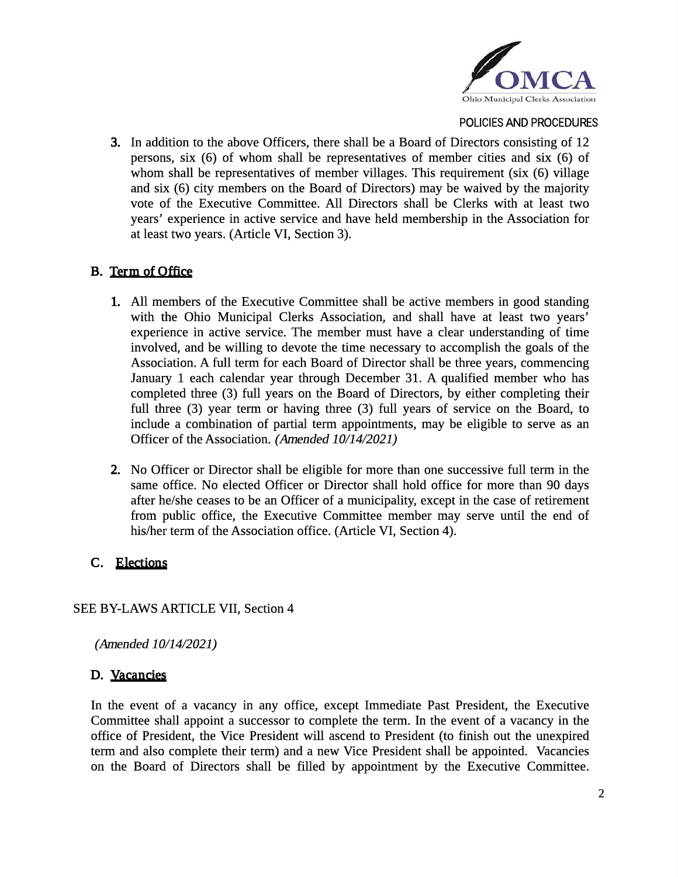

3. In addition to the above Officers, there shall be a Board of Directors consisting of 12 persons, six (6) of whom shall be representatives of member cities and six (6) of whom shall be representatives of member villages. This requirement (six (6) village and six (6) city members on the Board of Directors) may be waived by the majority vote of the Executive Committee. All Directors shall be Clerks with at least two years' experience in active service and have held membership in the Association for at least two years. (Article VI, Section 3).

## B. Term of Office

- 1. All members of the Executive Committee shall be active members in good standing with the Ohio Municipal Clerks Association, and shall have at least two years' experience in active service. The member must have a clear understanding of time involved, and be willing to devote the time necessary to accomplish the goals of the Association. A full term for each Board of Director shall be three years, commencing January 1 each calendar year through December 31. A qualified member who has completed three (3) full years on the Board of Directors, by either completing their full three (3) year term or having three (3) full years of service on the Board, to include a combination of partial term appointments, may be eligible to serve as an Officer of the Association. (Amended 10/14/2021)
- 2. No Officer or Director shall be eligible for more than one successive full term in the same office. No elected Officer or Director shall hold office for more than 90 days after he/she ceases to be an Officer of a municipality, except in the case of retirement from public office, the Executive Committee member may serve until the end of his/her term of the Association office. (Article VI, Section 4).

# C. Elections

### SEE BY-LAWS ARTICLE VII, Section 4

(Amended 10/14/2021)

### D. Vacancies

In the event of a vacancy in any office, except Immediate Past President, the Executive Committee shall appoint a successor to complete the term. In the event of a vacancy in the office of President, the Vice President will ascend to President (to finish out the unexpired term and also complete their term) and a new Vice President shall be appointed. Vacancies on the Board of Directors shall be filled by appointment by the Executive Committee.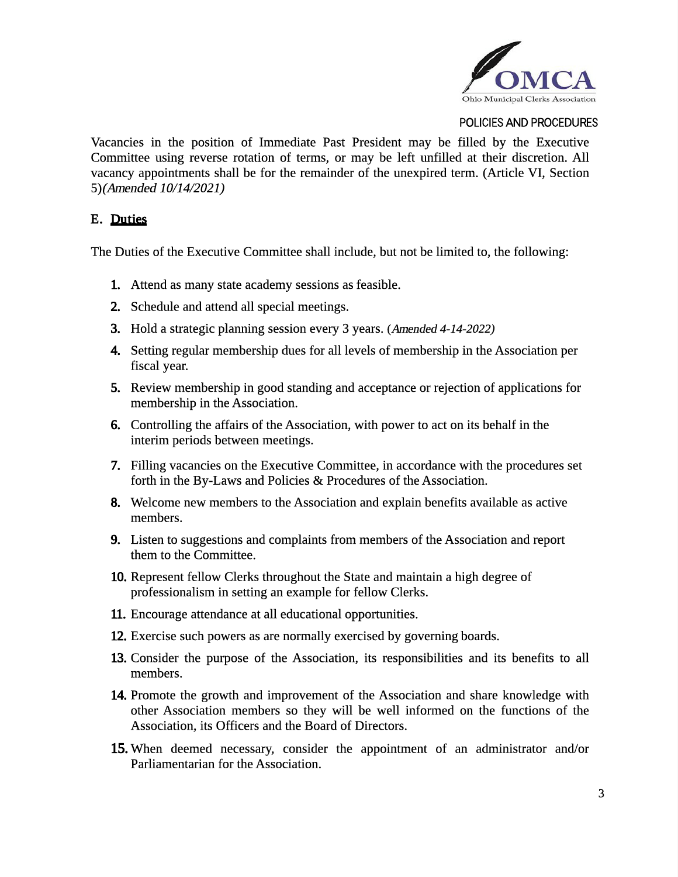

Vacancies in the position of Immediate Past President may be filled by the Executive Committee using reverse rotation of terms, or may be left unfilled at their discretion. All vacancy appointments shall be for the remainder of the unexpired term. (Article VI, Section 5)(Amended 10/14/2021)

### E. Duties

The Duties of the Executive Committee shall include, but not be limited to, the following:

- 1. Attend as many state academy sessions as feasible.
- 2. Schedule and attend all special meetings.
- 3. Hold a strategic planning session every 3 years. (Amended 4-14-2022)
- 4. Setting regular membership dues for all levels of membership in the Association per fiscal year.
- 5. Review membership in good standing and acceptance or rejection of applications for membership in the Association.
- 6. Controlling the affairs of the Association, with power to act on its behalf in the interim periods between meetings.
- 7. Filling vacancies on the Executive Committee, in accordance with the procedures set forth in the By-Laws and Policies & Procedures of the Association.
- 8. Welcome new members to the Association and explain benefits available as active members.
- 9. Listen to suggestions and complaints from members of the Association and report them to the Committee.
- 10. Represent fellow Clerks throughout the State and maintain a high degree of professionalism in setting an example for fellow Clerks.
- 11. Encourage attendance at all educational opportunities.
- 12. Exercise such powers as are normally exercised by governing boards.
- 13. Consider the purpose of the Association, its responsibilities and its benefits to all members.
- 14. Promote the growth and improvement of the Association and share knowledge with other Association members so they will be well informed on the functions of the Association, its Officers and the Board of Directors.
- 15. When deemed necessary, consider the appointment of an administrator and/or Parliamentarian for the Association.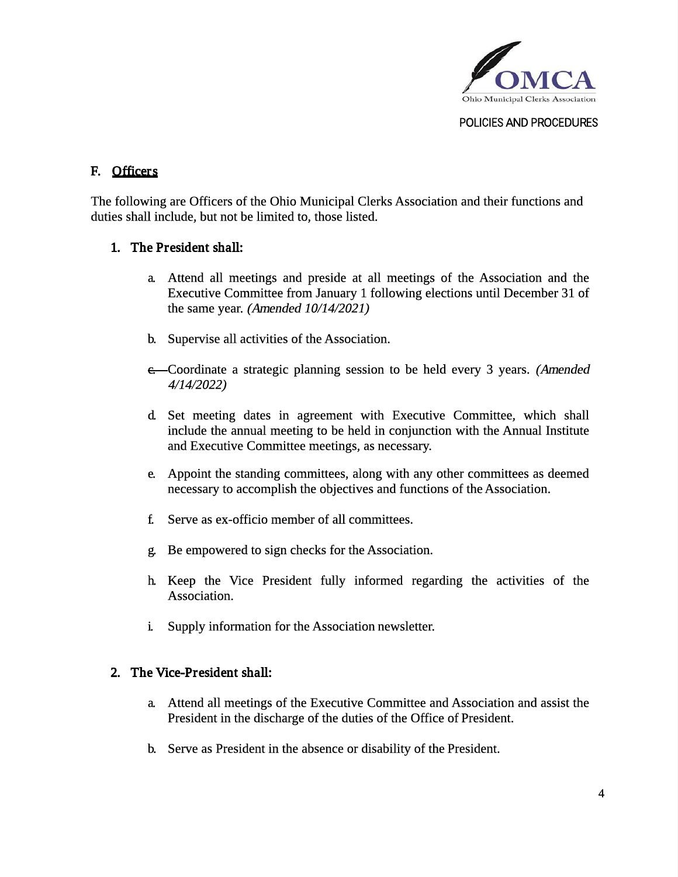

## F. Officers

The following are Officers of the Ohio Municipal Clerks Association and their functions and duties shall include, but not be limited to, those listed.

- 1. The President shall:
	- a. Attend all meetings and preside at all meetings of the Association and the Executive Committee from January 1 following elections until December 31 of the same year. (Amended 10/14/2021)
	- b. Supervise all activities of the Association.
	- c. Coordinate a strategic planning session to be held every 3 years. (Amended 4/14/2022)
	- d. Set meeting dates in agreement with Executive Committee, which shall include the annual meeting to be held in conjunction with the Annual Institute and Executive Committee meetings, as necessary.
	- e. Appoint the standing committees, along with any other committees as deemed necessary to accomplish the objectives and functions of the Association.
	- f. Serve as ex-officio member of all committees.
	- g. Be empowered to sign checks for the Association.
	- h. Keep the Vice President fully informed regarding the activities of the Association.
	- i. Supply information for the Association newsletter.
- 2. The Vice-President shall:
	- a. Attend all meetings of the Executive Committee and Association and assist the President in the discharge of the duties of the Office of President.
	- b. Serve as President in the absence or disability of the President.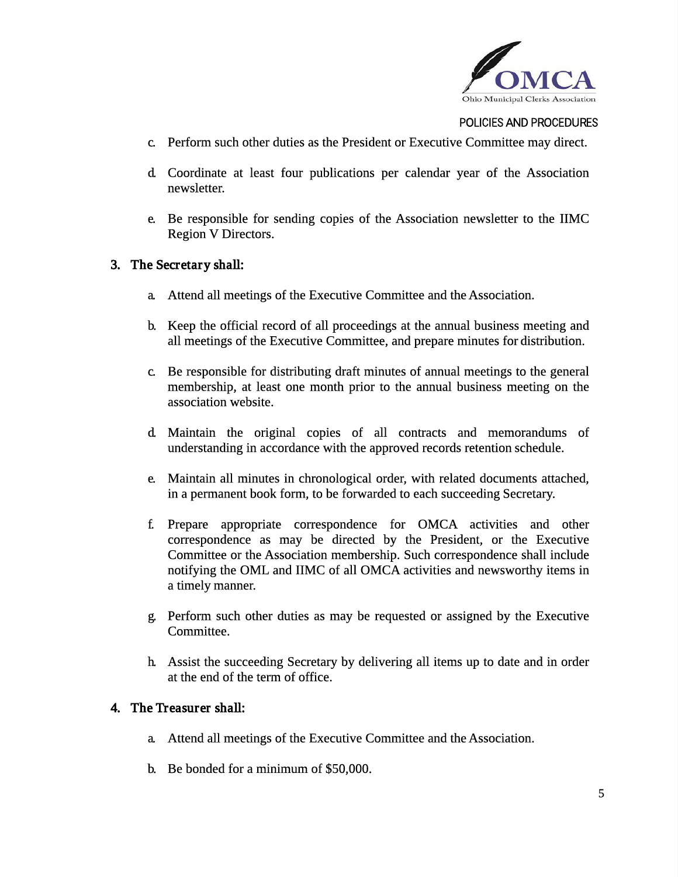

- c. Perform such other duties as the President or Executive Committee may direct.
- d. Coordinate at least four publications per calendar year of the Association newsletter.
- e. Be responsible for sending copies of the Association newsletter to the IIMC Region V Directors.
- 3. The Secretary shall:
	- a. Attend all meetings of the Executive Committee and the Association.
	- b. Keep the official record of all proceedings at the annual business meeting and all meetings of the Executive Committee, and prepare minutes for distribution.
	- c. Be responsible for distributing draft minutes of annual meetings to the general membership, at least one month prior to the annual business meeting on the association website.
	- d. Maintain the original copies of all contracts and memorandums of understanding in accordance with the approved records retention schedule.
	- e. Maintain all minutes in chronological order, with related documents attached, in a permanent book form, to be forwarded to each succeeding Secretary.
	- f. Prepare appropriate correspondence for OMCA activities and other correspondence as may be directed by the President, or the Executive Committee or the Association membership. Such correspondence shall include notifying the OML and IIMC of all OMCA activities and newsworthy items in a timely manner.
	- g. Perform such other duties as may be requested or assigned by the Executive Committee.
	- h. Assist the succeeding Secretary by delivering all items up to date and in order at the end of the term of office.
- 4. The Treasurer shall:
	- a. Attend all meetings of the Executive Committee and the Association.
	- b. Be bonded for a minimum of \$50,000.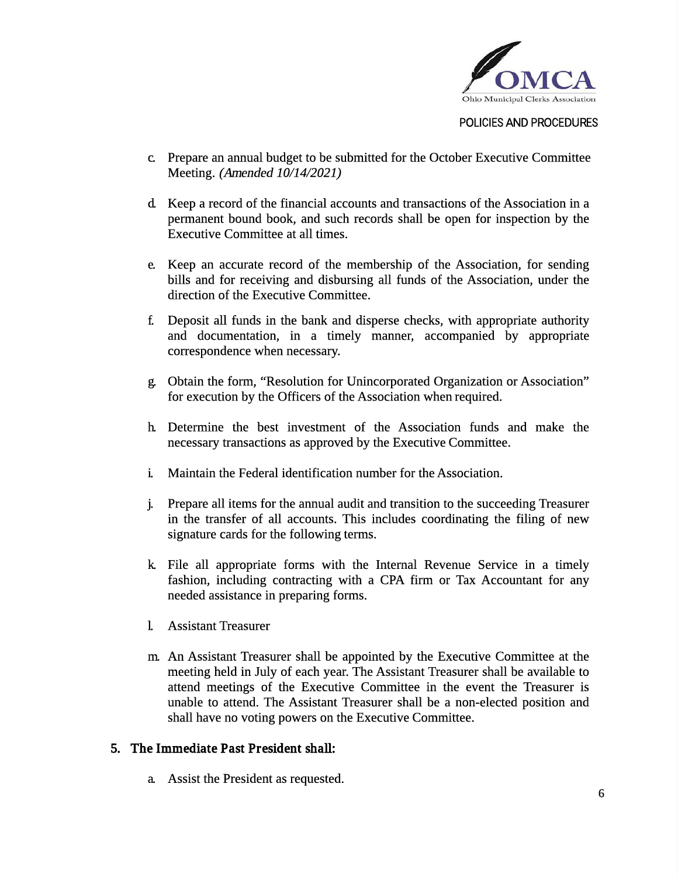

- c. Prepare an annual budget to be submitted for the October Executive Committee Meeting. (Amended 10/14/2021)
- d. Keep a record of the financial accounts and transactions of the Association in a permanent bound book, and such records shall be open for inspection by the Executive Committee at all times.
- e. Keep an accurate record of the membership of the Association, for sending bills and for receiving and disbursing all funds of the Association, under the direction of the Executive Committee.
- f. Deposit all funds in the bank and disperse checks, with appropriate authority and documentation, in a timely manner, accompanied by appropriate correspondence when necessary.
- g. Obtain the form, "Resolution for Unincorporated Organization or Association" for execution by the Officers of the Association when required.
- h. Determine the best investment of the Association funds and make the necessary transactions as approved by the Executive Committee.
- i. Maintain the Federal identification number for the Association.
- j. Prepare all items for the annual audit and transition to the succeeding Treasurer in the transfer of all accounts. This includes coordinating the filing of new signature cards for the following terms.
- k. File all appropriate forms with the Internal Revenue Service in a timely fashion, including contracting with a CPA firm or Tax Accountant for any needed assistance in preparing forms.
- l. Assistant Treasurer
- m. An Assistant Treasurer shall be appointed by the Executive Committee at the meeting held in July of each year. The Assistant Treasurer shall be available to attend meetings of the Executive Committee in the event the Treasurer is unable to attend. The Assistant Treasurer shall be a non-elected position and shall have no voting powers on the Executive Committee.
- 5. The Immediate Past President shall:
	- a. Assist the President as requested.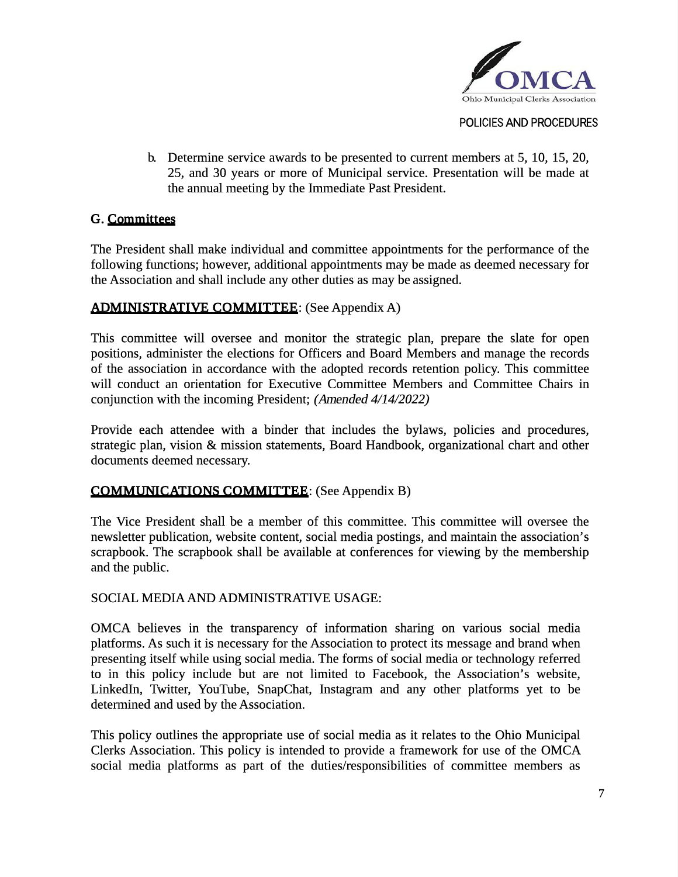

b. Determine service awards to be presented to current members at 5, 10, 15, 20, 25, and 30 years or more of Municipal service. Presentation will be made at the annual meeting by the Immediate Past President.

### G. Committees

The President shall make individual and committee appointments for the performance of the following functions; however, additional appointments may be made as deemed necessary for the Association and shall include any other duties as may be assigned.

## ADMINISTRATIVE COMMITTEE: (See Appendix A)

This committee will oversee and monitor the strategic plan, prepare the slate for open positions, administer the elections for Officers and Board Members and manage the records of the association in accordance with the adopted records retention policy. This committee will conduct an orientation for Executive Committee Members and Committee Chairs in conjunction with the incoming President; (Amended 4/14/2022)

Provide each attendee with a binder that includes the bylaws, policies and procedures, strategic plan, vision & mission statements, Board Handbook, organizational chart and other documents deemed necessary.

### COMMUNICATIONS COMMITTEE: (See Appendix B)

The Vice President shall be a member of this committee. This committee will oversee the newsletter publication, website content, social media postings, and maintain the association's scrapbook. The scrapbook shall be available at conferences for viewing by the membership and the public.

### SOCIAL MEDIAAND ADMINISTRATIVE USAGE:

OMCA believes in the transparency of information sharing on various social media platforms. As such it is necessary for the Association to protect its message and brand when presenting itself while using social media. The forms of social media or technology referred to in this policy include but are not limited to Facebook, the Association's website, LinkedIn, Twitter, YouTube, SnapChat, Instagram and any other platforms yet to be determined and used by the Association.

This policy outlines the appropriate use of social media as it relates to the Ohio Municipal Clerks Association. This policy is intended to provide a framework for use of the OMCA social media platforms as part of the duties/responsibilities of committee members as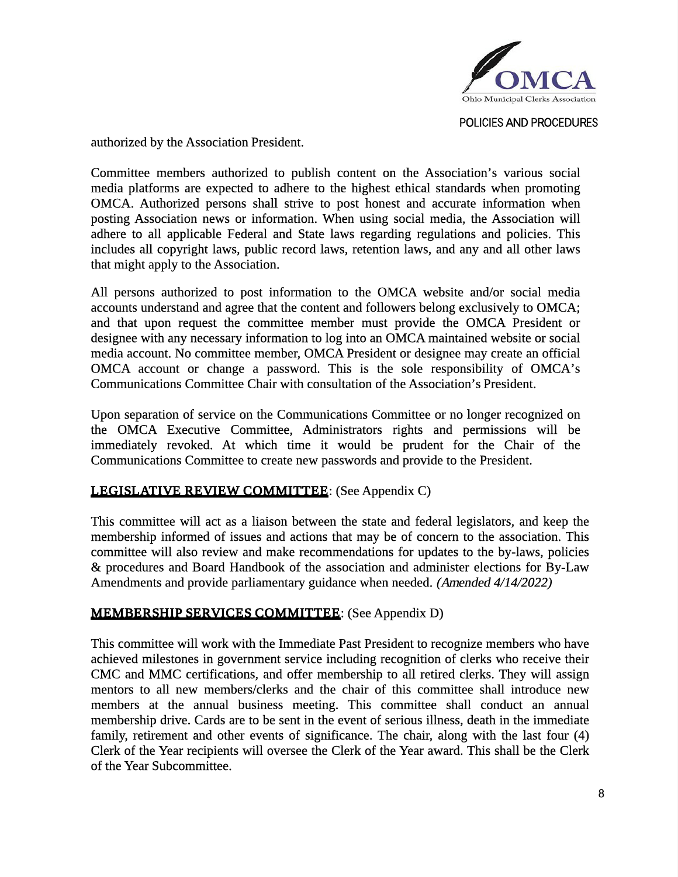

authorized by the Association President.

Committee members authorized to publish content on the Association's various social media platforms are expected to adhere to the highest ethical standards when promoting OMCA. Authorized persons shall strive to post honest and accurate information when posting Association news or information. When using social media, the Association will adhere to all applicable Federal and State laws regarding regulations and policies. This includes all copyright laws, public record laws, retention laws, and any and all other laws that might apply to the Association.

All persons authorized to post information to the OMCA website and/or social media accounts understand and agree that the content and followers belong exclusively to OMCA; and that upon request the committee member must provide the OMCA President or designee with any necessary information to log into an OMCA maintained website or social media account. No committee member, OMCA President or designee may create an official OMCA account or change a password. This is the sole responsibility of OMCA's Communications Committee Chair with consultation of the Association's President.

Upon separation of service on the Communications Committee or no longer recognized on the OMCA Executive Committee, Administrators rights and permissions will be immediately revoked. At which time it would be prudent for the Chair of the Communications Committee to create new passwords and provide to the President.

# LEGISLATIVE REVIEW COMMITTEE: (See Appendix C)

This committee will act as a liaison between the state and federal legislators, and keep the membership informed of issues and actions that may be of concern to the association. This committee will also review and make recommendations for updates to the by-laws, policies & procedures and Board Handbook of the association and administer elections for By-Law Amendments and provide parliamentary guidance when needed. (Amended 4/14/2022)

### MEMBERSHIP SERVICES COMMITTEE: (See Appendix D)

This committee will work with the Immediate Past President to recognize members who have achieved milestones in government service including recognition of clerks who receive their CMC and MMC certifications, and offer membership to all retired clerks. They will assign mentors to all new members/clerks and the chair of this committee shall introduce new members at the annual business meeting. This committee shall conduct an annual membership drive. Cards are to be sent in the event of serious illness, death in the immediate family, retirement and other events of significance. The chair, along with the last four (4) Clerk of the Year recipients will oversee the Clerk of the Year award. This shall be the Clerk of the Year Subcommittee.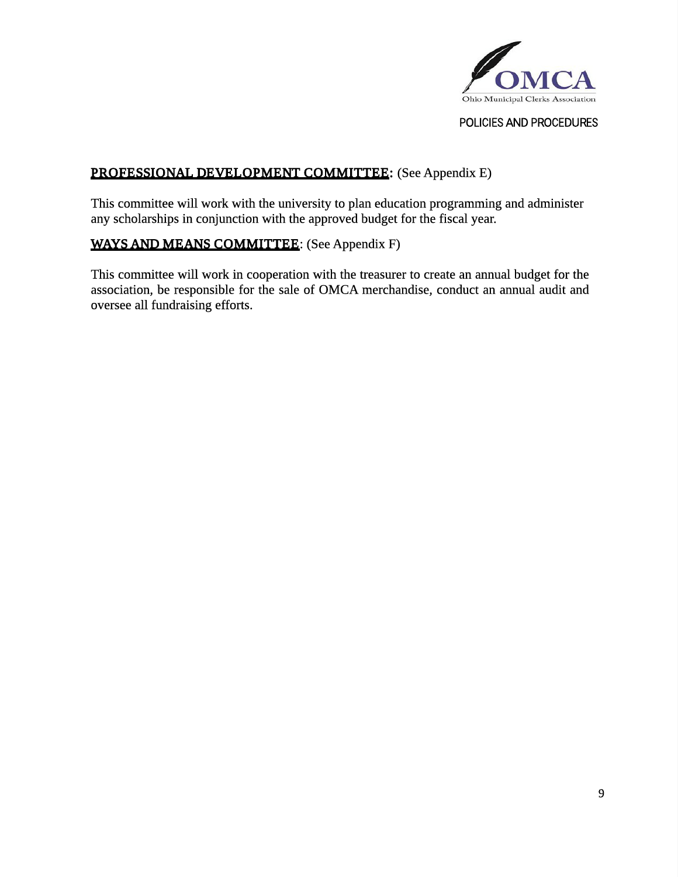

# PROFESSIONAL DEVELOPMENT COMMITTEE: (See Appendix E)

This committee will work with the university to plan education programming and administer any scholarships in conjunction with the approved budget for the fiscal year.

# WAYS AND MEANS COMMITTEE: (See Appendix F)

This committee will work in cooperation with the treasurer to create an annual budget for the association, be responsible for the sale of OMCA merchandise, conduct an annual audit and oversee all fundraising efforts.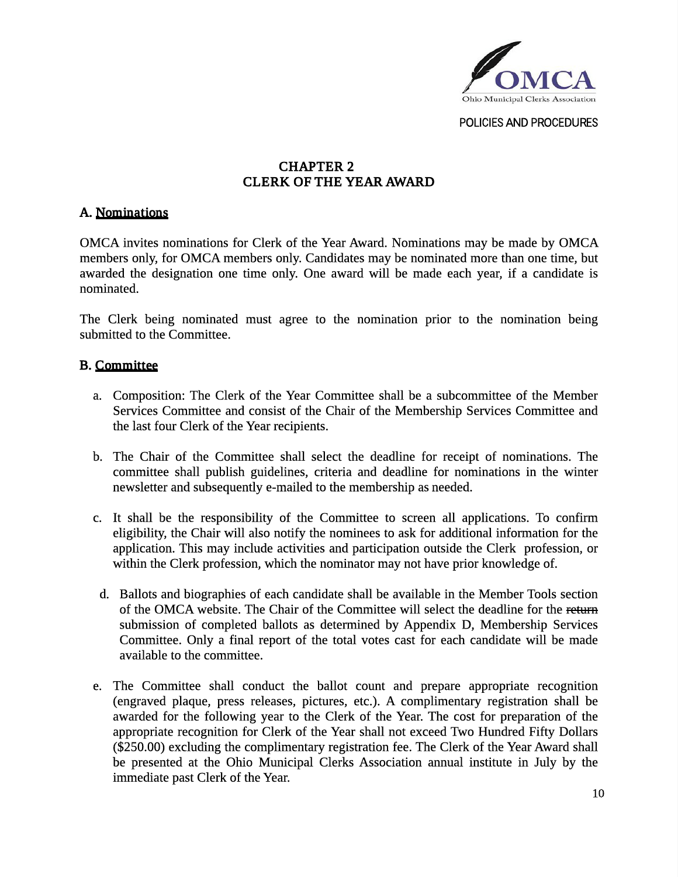

# CHAPTER 2 CLERK OF THE YEAR AWARD

#### A. Nominations

OMCA invites nominations for Clerk of the Year Award. Nominations may be made by OMCA members only, for OMCA members only. Candidates may be nominated more than one time, but awarded the designation one time only. One award will be made each year, if a candidate is nominated.

The Clerk being nominated must agree to the nomination prior to the nomination being submitted to the Committee.

#### B. Committee

- a. Composition: The Clerk of the Year Committee shall be a subcommittee of the Member Services Committee and consist of the Chair of the Membership Services Committee and the last four Clerk of the Year recipients.
- b. The Chair of the Committee shall select the deadline for receipt of nominations. The committee shall publish guidelines, criteria and deadline for nominations in the winter newsletter and subsequently e-mailed to the membership as needed.
- c. It shall be the responsibility of the Committee to screen all applications. To confirm eligibility, the Chair will also notify the nominees to ask for additional information for the application. This may include activities and participation outside the Clerk profession, or within the Clerk profession, which the nominator may not have prior knowledge of.
	- d. Ballots and biographies of each candidate shall be available in the Member Tools section of the OMCA website. The Chair of the Committee will select the deadline for the return submission of completed ballots as determined by Appendix D, Membership Services Committee. Only a final report of the total votes cast for each candidate will be made available to the committee.
- e. The Committee shall conduct the ballot count and prepare appropriate recognition (engraved plaque, press releases, pictures, etc.). A complimentary registration shall be awarded for the following year to the Clerk of the Year. The cost for preparation of the appropriate recognition for Clerk of the Year shall not exceed Two Hundred Fifty Dollars (\$250.00) excluding the complimentary registration fee. The Clerk of the Year Award shall be presented at the Ohio Municipal Clerks Association annual institute in July by the immediate past Clerk of the Year.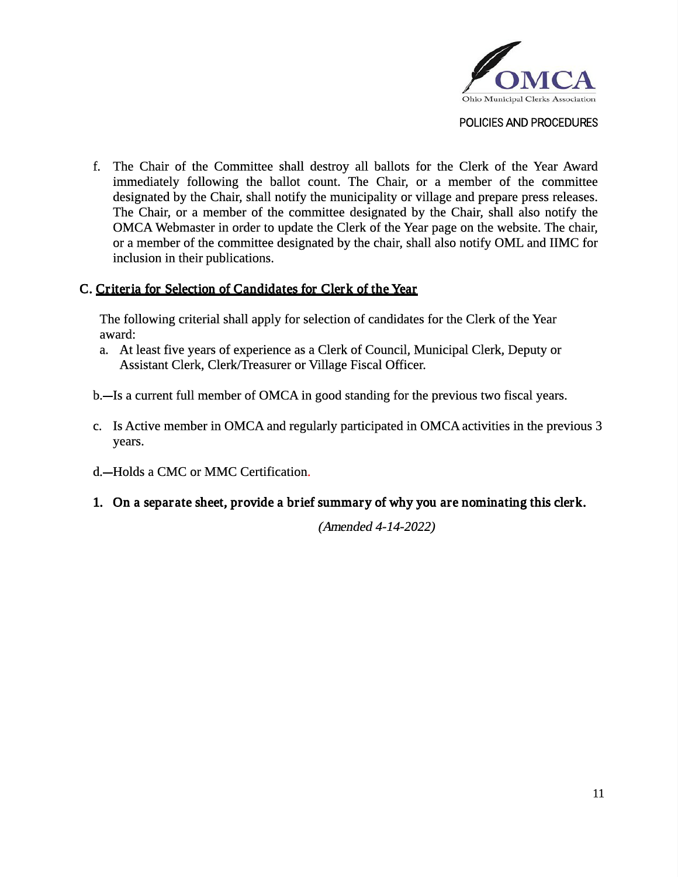

- f. The Chair of the Committee shall destroy all ballots for the Clerk of the Year Award immediately following the ballot count. The Chair, or a member of the committee designated by the Chair, shall notify the municipality or village and prepare press releases. The Chair, or a member of the committee designated by the Chair, shall also notify the OMCA Webmaster in order to update the Clerk of the Year page on the website. The chair, or a member of the committee designated by the chair, shall also notify OML and IIMC for inclusion in their publications.
- C. Criteria for Selection of Candidates for Clerk of the Year

The following criterial shall apply for selection of candidates for the Clerk of the Year award:

- a. At least five years of experience as a Clerk of Council, Municipal Clerk, Deputy or Assistant Clerk, Clerk/Treasurer or Village Fiscal Officer.
- b.—Is a current full member of OMCA in good standing for the previous two fiscal years.
- c. Is Active member in OMCA and regularly participated in OMCA activities in the previous 3 years.
- d.-Holds a CMC or MMC Certification.
- 1. On a separ ate sheet, provide a brief summary of why you are nominating this clerk.

(Amended 4-14-2022)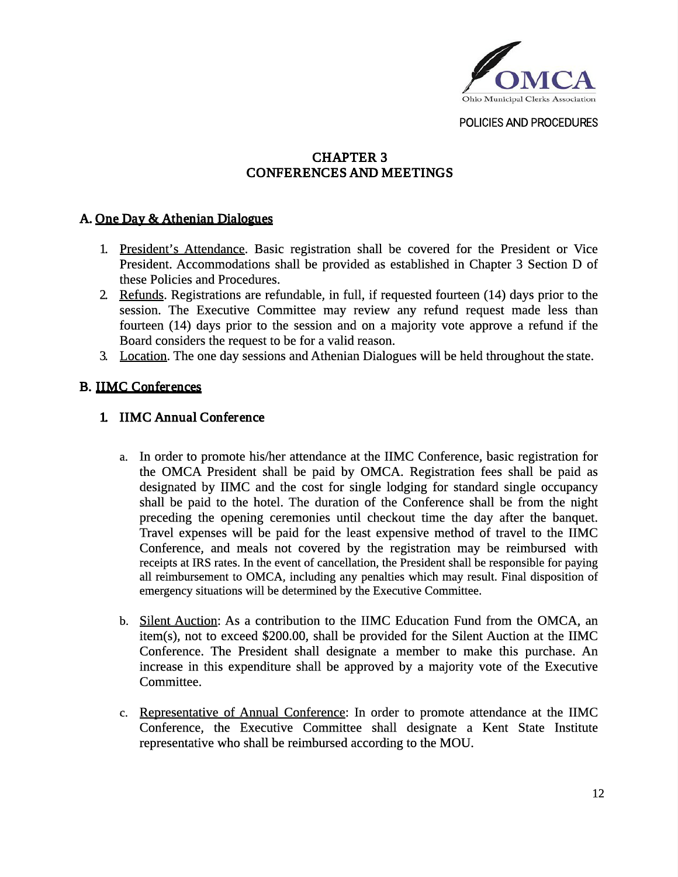

# CHAPTER 3 CONFERENCES AND MEETINGS

## A. One Day & Athenian Dialogues

- 1. President's Attendance. Basic registration shall be covered for the President or Vice President. Accommodations shall be provided as established in Chapter 3 Section D of these Policies and Procedures.
- 2. Refunds. Registrations are refundable, in full, if requested fourteen (14) days prior to the session. The Executive Committee may review any refund request made less than fourteen (14) days prior to the session and on a majority vote approve a refund if the Board considers the request to be for a valid reason.
- 3. Location. The one day sessions and Athenian Dialogues will be held throughout the state.

### B. IIMC Conferences

- 1. IIMC Annual Conference
	- a. In order to promote his/her attendance at the IIMC Conference, basic registration for the OMCA President shall be paid by OMCA. Registration fees shall be paid as designated by IIMC and the cost for single lodging for standard single occupancy shall be paid to the hotel. The duration of the Conference shall be from the night preceding the opening ceremonies until checkout time the day after the banquet. Travel expenses will be paid for the least expensive method of travel to the IIMC Conference, and meals not covered by the registration may be reimbursed with receipts at IRS rates. In the event of cancellation, the President shall be responsible for paying all reimbursement to OMCA, including any penalties which may result. Final disposition of emergency situations will be determined by the Executive Committee.
	- b. Silent Auction: As a contribution to the IIMC Education Fund from the OMCA, an item(s), not to exceed \$200.00, shall be provided for the Silent Auction at the IIMC Conference. The President shall designate a member to make this purchase. An increase in this expenditure shall be approved by a majority vote of the Executive Committee.
	- c. Representative of Annual Conference: In order to promote attendance at the IIMC Conference, the Executive Committee shall designate a Kent State Institute representative who shall be reimbursed according to the MOU.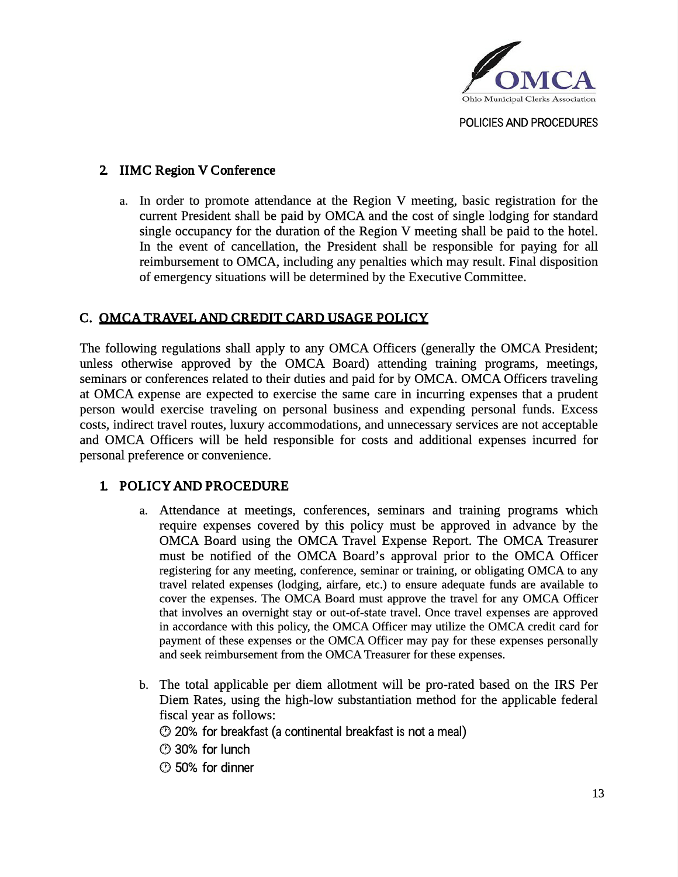

## 2. IIMC Region V Conference

a. In order to promote attendance at the Region V meeting, basic registration for the current President shall be paid by OMCA and the cost of single lodging for standard single occupancy for the duration of the Region V meeting shall be paid to the hotel. In the event of cancellation, the President shall be responsible for paying for all reimbursement to OMCA, including any penalties which may result. Final disposition of emergency situations will be determined by the Executive Committee.

## C. OMCA TRAVEL AND CREDIT CARD USAGE POLICY

The following regulations shall apply to any OMCA Officers (generally the OMCA President; unless otherwise approved by the OMCA Board) attending training programs, meetings, seminars or conferences related to their duties and paid for by OMCA. OMCA Officers traveling at OMCA expense are expected to exercise the same care in incurring expenses that a prudent person would exercise traveling on personal business and expending personal funds. Excess costs, indirect travel routes, luxury accommodations, and unnecessary services are not acceptable and OMCA Officers will be held responsible for costs and additional expenses incurred for personal preference or convenience.

### 1. POLICY AND PROCEDURE

- a. Attendance at meetings, conferences, seminars and training programs which require expenses covered by this policy must be approved in advance by the OMCA Board using the OMCA Travel Expense Report. The OMCA Treasurer must be notified of the OMCA Board's approval prior to the OMCA Officer registering for any meeting, conference, seminar or training, or obligating OMCA to any travel related expenses (lodging, airfare, etc.) to ensure adequate funds are available to cover the expenses. The OMCA Board must approve the travel for any OMCA Officer that involves an overnight stay or out-of-state travel. Once travel expenses are approved in accordance with this policy, the OMCA Officer may utilize the OMCA credit card for payment of these expenses or the OMCA Officer may pay for these expenses personally and seek reimbursement from the OMCA Treasurer for these expenses.
- b. The total applicable per diem allotment will be pro-rated based on the IRS Per Diem Rates, using the high-low substantiation method for the applicable federal fiscal year as follows:

20% for breakfast (a continental breakfast is not a meal)

- 30% for lunch
- 50% for dinner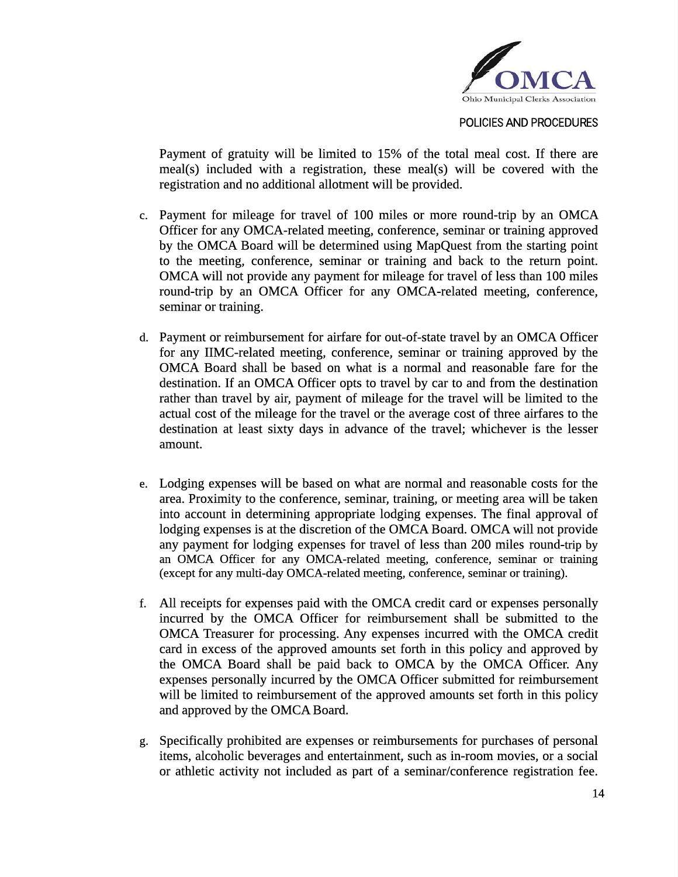

Payment of gratuity will be limited to 15% of the total meal cost. If there are meal(s) included with a registration, these meal(s) will be covered with the registration and no additional allotment will be provided.

- c. Payment for mileage for travel of 100 miles or more round-trip by an OMCA Officer for any OMCA-related meeting, conference, seminar or training approved by the OMCA Board will be determined using MapQuest from the starting point to the meeting, conference, seminar or training and back to the return point. OMCA will not provide any payment for mileage for travel of less than 100 miles round-trip by an OMCA Officer for any OMCA-related meeting, conference, seminar or training.
- d. Payment or reimbursement for airfare for out-of-state travel by an OMCA Officer for any IIMC-related meeting, conference, seminar or training approved by the OMCA Board shall be based on what is a normal and reasonable fare for the destination. If an OMCA Officer opts to travel by car to and from the destination rather than travel by air, payment of mileage for the travel will be limited to the actual cost of the mileage for the travel or the average cost of three airfares to the destination at least sixty days in advance of the travel; whichever is the lesser amount.
- e. Lodging expenses will be based on what are normal and reasonable costs for the area. Proximity to the conference, seminar, training, or meeting area will be taken into account in determining appropriate lodging expenses. The final approval of lodging expenses is at the discretion of the OMCA Board. OMCA will not provide any payment for lodging expenses for travel of less than 200 miles round-trip by an OMCA Officer for any OMCA-related meeting, conference, seminar or training (except for any multi-day OMCA-related meeting, conference, seminar or training).
- f. All receipts for expenses paid with the OMCA credit card or expenses personally incurred by the OMCA Officer for reimbursement shall be submitted to the OMCA Treasurer for processing. Any expenses incurred with the OMCA credit card in excess of the approved amounts set forth in this policy and approved by the OMCA Board shall be paid back to OMCA by the OMCA Officer. Any expenses personally incurred by the OMCA Officer submitted for reimbursement will be limited to reimbursement of the approved amounts set forth in this policy and approved by the OMCA Board.
- g. Specifically prohibited are expenses or reimbursements for purchases of personal items, alcoholic beverages and entertainment, such as in-room movies, or a social or athletic activity not included as part of a seminar/conference registration fee.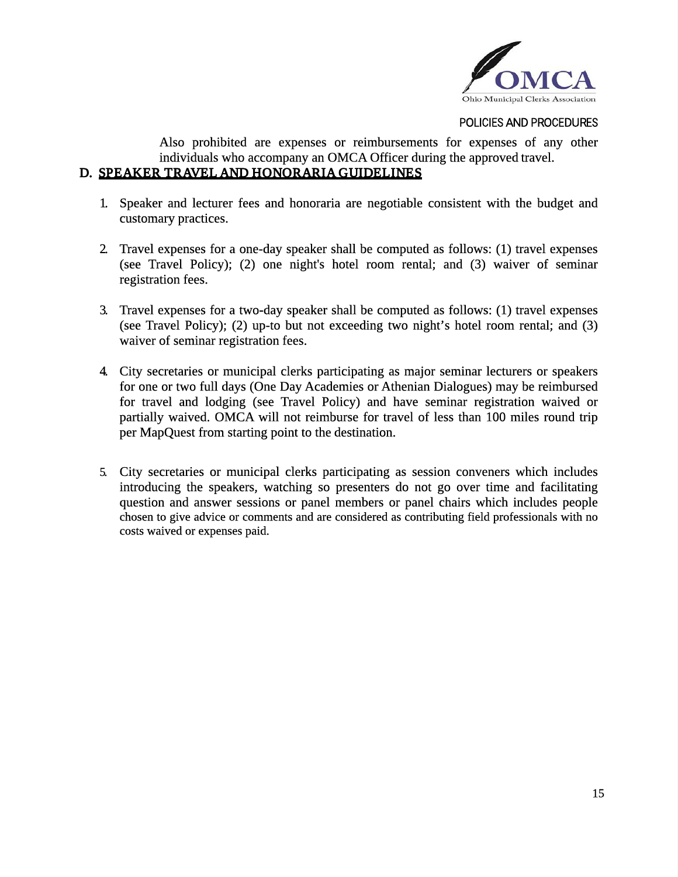

Also prohibited are expenses or reimbursements for expenses of any other individuals who accompany an OMCA Officer during the approved travel. D. SPEAKER TRAVEL AND HONORARIA GUIDELINES

- 1. Speaker and lecturer fees and honoraria are negotiable consistent with the budget and customary practices.
- 2. Travel expenses for a one-day speaker shall be computed as follows: (1) travel expenses (see Travel Policy); (2) one night's hotel room rental; and (3) waiver of seminar registration fees.
- 3. Travel expenses for a two-day speaker shall be computed as follows: (1) travel expenses (see Travel Policy); (2) up-to but not exceeding two night's hotel room rental; and (3) waiver of seminar registration fees.
- 4. City secretaries or municipal clerks participating as major seminar lecturers or speakers for one or two full days (One Day Academies or Athenian Dialogues) may be reimbursed for travel and lodging (see Travel Policy) and have seminar registration waived or partially waived. OMCA will not reimburse for travel of less than 100 miles round trip per MapQuest from starting point to the destination.
- 5. City secretaries or municipal clerks participating as session conveners which includes introducing the speakers, watching so presenters do not go over time and facilitating question and answer sessions or panel members or panel chairs which includes people chosen to give advice or comments and are considered as contributing field professionals with no costs waived or expenses paid.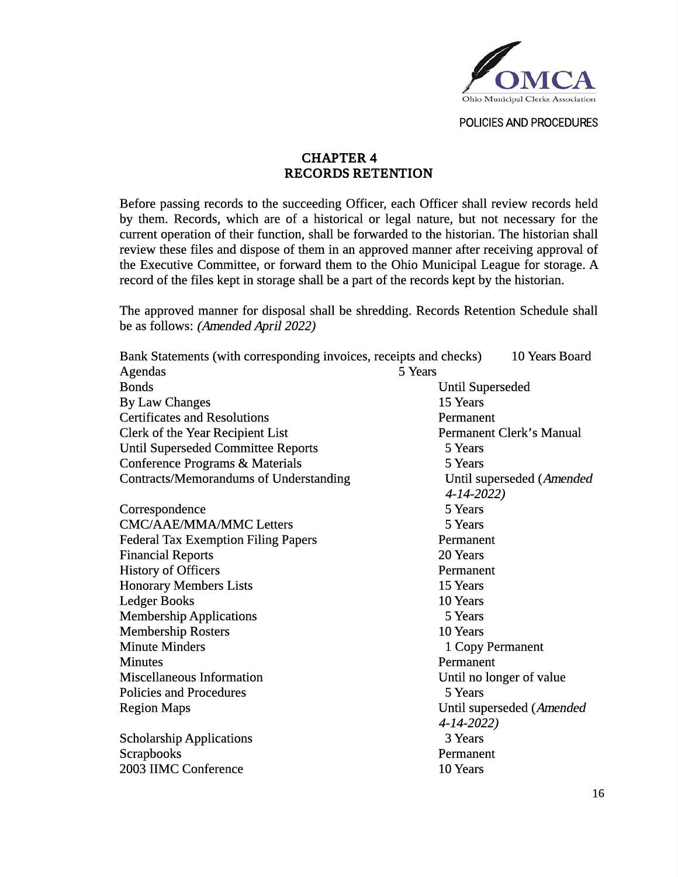

## CHAPTER 4 RECORDS RETENTION

Before passing records to the succeeding Officer, each Officer shall review records held by them. Records, which are of a historical or legal nature, but not necessary for the current operation of their function, shall be forwarded to the historian. The historian shall review these files and dispose of them in an approved manner after receiving approval of the Executive Committee, or forward them to the Ohio Municipal League for storage. A record of the files kept in storage shall be a part of the records kept by the historian.

The approved manner for disposal shall be shredding. Records Retention Schedule shall be as follows: (Amended April 2022)

| Bank Statements (with corresponding invoices, receipts and checks)<br>10 Years Board |                           |  |
|--------------------------------------------------------------------------------------|---------------------------|--|
| <b>Agendas</b>                                                                       | 5 Years                   |  |
| <b>Bonds</b>                                                                         | <b>Until Superseded</b>   |  |
| <b>By Law Changes</b>                                                                | 15 Years                  |  |
| <b>Certificates and Resolutions</b>                                                  | Permanent                 |  |
| <b>Clerk of the Year Recipient List</b>                                              | Permanent Clerk's Manual  |  |
| <b>Until Superseded Committee Reports</b>                                            | 5 Years                   |  |
| Conference Programs & Materials                                                      | 5 Years                   |  |
| <b>Contracts/Memorandums of Understanding</b>                                        | Until superseded (Amended |  |
|                                                                                      | 4-14-2022)                |  |
| Correspondence                                                                       | 5 Years                   |  |
| <b>CMC/AAE/MMA/MMC Letters</b>                                                       | 5 Years                   |  |
| <b>Federal Tax Exemption Filing Papers</b>                                           | Permanent                 |  |
| <b>Financial Reports</b>                                                             | 20 Years                  |  |
| <b>History of Officers</b>                                                           | Permanent                 |  |
| <b>Honorary Members Lists</b>                                                        | 15 Years                  |  |
| <b>Ledger Books</b>                                                                  | 10 Years                  |  |
| <b>Membership Applications</b>                                                       | 5 Years                   |  |
| <b>Membership Rosters</b><br>10 Years                                                |                           |  |
| <b>Minute Minders</b><br>1 Copy Permanent                                            |                           |  |
| <b>Minutes</b>                                                                       | Permanent                 |  |
| <b>Miscellaneous Information</b>                                                     | Until no longer of value  |  |
| <b>Policies and Procedures</b>                                                       | 5 Years                   |  |
| <b>Region Maps</b>                                                                   | Until superseded (Amended |  |
|                                                                                      | 4-14-2022)                |  |
| <b>Scholarship Applications</b>                                                      | 3 Years                   |  |
| <b>Scrapbooks</b>                                                                    | Permanent                 |  |
| 2003 IIMC Conference                                                                 | 10 Years                  |  |
|                                                                                      |                           |  |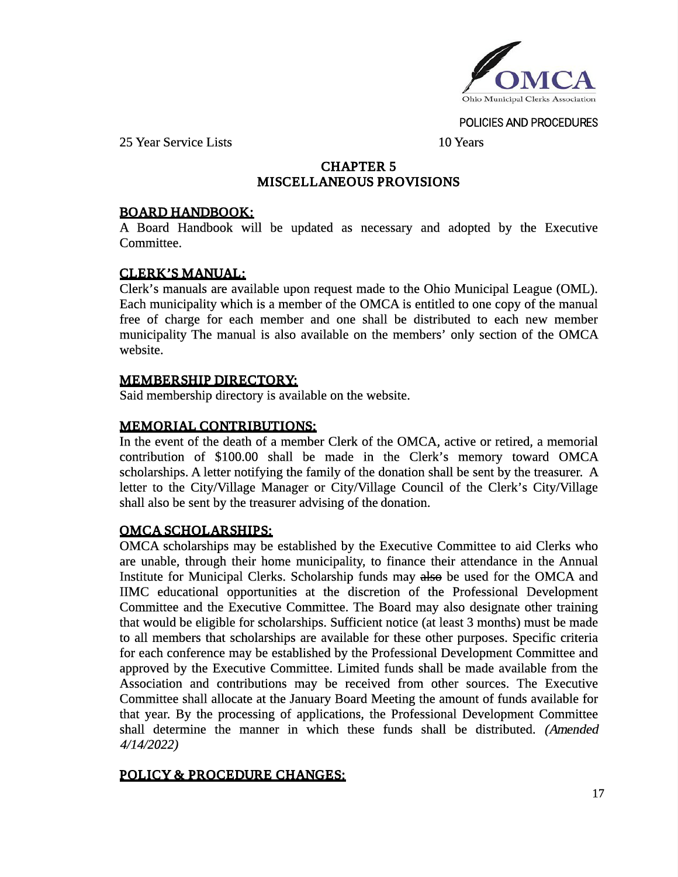

25 Year Service Lists 10 Years

## CHAPTER 5 MISCELLANEOUS PROVISIONS

### BOARD HANDBOOK:

A Board Handbook will be updated as necessary and adopted by the Executive Committee.

### CLERK'S MANUAL:

Clerk's manuals are available upon request made to the Ohio Municipal League (OML). Each municipality which is a member of the OMCA is entitled to one copy of the manual free of charge for each member and one shall be distributed to each new member municipality The manual is also available on the members' only section of the OMCA website.

### MEMBERSHIP DIRECTORY:

Said membership directory is available on the website.

## MEMORIAL CONTRIBUTIONS:

In the event of the death of a member Clerk of the OMCA, active or retired, a memorial contribution of \$100.00 shall be made in the Clerk's memory toward OMCA scholarships. A letter notifying the family of the donation shall be sent by the treasurer. A letter to the City/Village Manager or City/Village Council of the Clerk's City/Village shall also be sent by the treasurer advising of the donation.

### OMCA SCHOLARSHIPS:

OMCA scholarships may be established by the Executive Committee to aid Clerks who are unable, through their home municipality, to finance their attendance in the Annual Institute for Municipal Clerks. Scholarship funds may also be used for the OMCA and IIMC educational opportunities at the discretion of the Professional Development Committee and the Executive Committee. The Board may also designate other training that would be eligible for scholarships. Sufficient notice (at least 3 months) must be made to all members that scholarships are available for these other purposes. Specific criteria for each conference may be established by the Professional Development Committee and approved by the Executive Committee. Limited funds shall be made available from the Association and contributions may be received from other sources. The Executive Committee shall allocate at the January Board Meeting the amount of funds available for that year. By the processing of applications, the Professional Development Committee shall determine the manner in which these funds shall be distributed. (Amended 4/14/2022)

### POLICY & PROCEDURE CHANGES: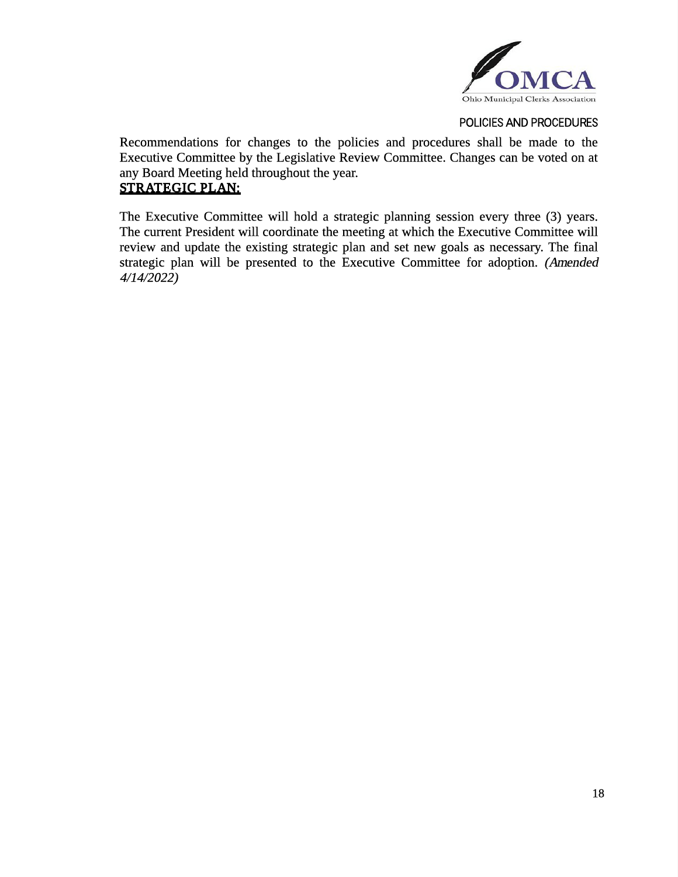

Recommendations for changes to the policies and procedures shall be made to the Executive Committee by the Legislative Review Committee. Changes can be voted on at any Board Meeting held throughout the year. STRATEGIC PLAN:

The Executive Committee will hold a strategic planning session every three (3) years. The current President will coordinate the meeting at which the Executive Committee will review and update the existing strategic plan and set new goals as necessary. The final strategic plan will be presented to the Executive Committee for adoption. (Amended 4/14/2022)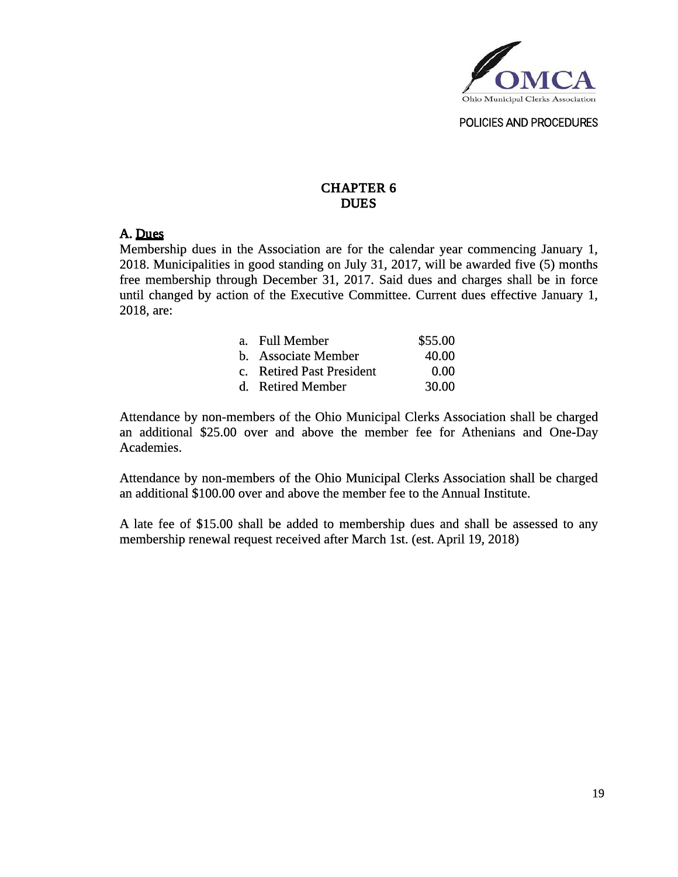

## CHAPTER 6 DUES

#### A. Dues

Membership dues in the Association are for the calendar year commencing January 1, 2018. Municipalities in good standing on July 31, 2017, will be awarded five (5) months free membership through December 31, 2017. Said dues and charges shall be in force until changed by action of the Executive Committee. Current dues effective January 1, 2018, are:

| a. Full Member            | \$55.00 |
|---------------------------|---------|
| b. Associate Member       | 40.00   |
| c. Retired Past President | 0.00    |
| d. Retired Member         | 30.00   |

Attendance by non-members of the Ohio Municipal Clerks Association shall be charged an additional \$25.00 over and above the member fee for Athenians and One-Day Academies.

Attendance by non-members of the Ohio Municipal Clerks Association shall be charged an additional \$100.00 over and above the member fee to the Annual Institute.

A late fee of \$15.00 shall be added to membership dues and shall be assessed to any membership renewal request received after March 1st. (est. April 19, 2018)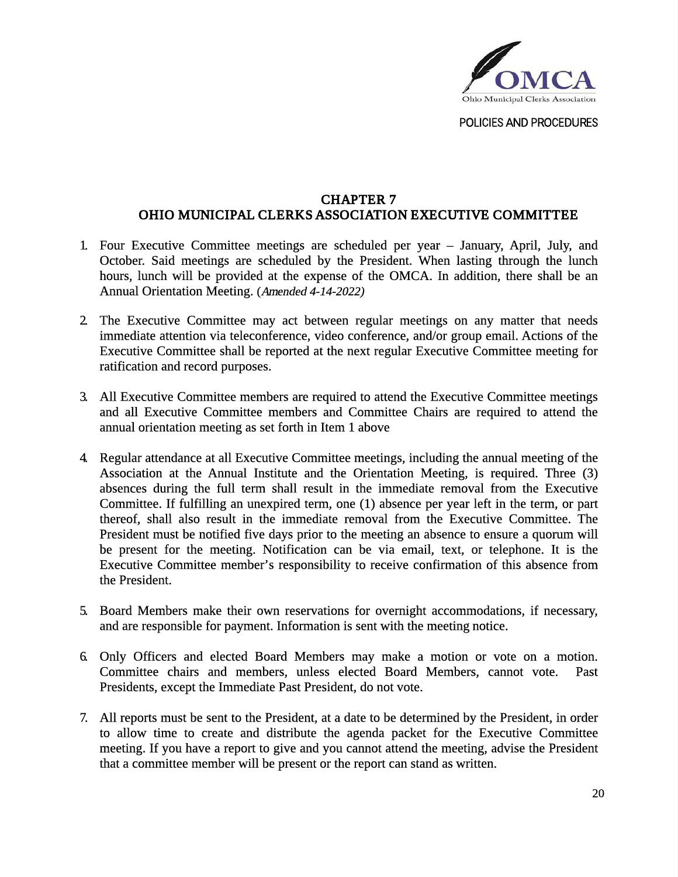

#### CHAPTER 7 OHIO MUNICIPAL CLERKS ASSOCIATION EXECUTIVE COMMITTEE

- 1. Four Executive Committee meetings are scheduled per year January, April, July, and October. Said meetings are scheduled by the President. When lasting through the lunch hours, lunch will be provided at the expense of the OMCA. In addition, there shall be an Annual Orientation Meeting. (Amended 4-14-2022)
- 2. The Executive Committee may act between regular meetings on any matter that needs immediate attention via teleconference, video conference, and/or group email. Actions of the Executive Committee shall be reported at the next regular Executive Committee meeting for ratification and record purposes.
- 3. All Executive Committee members are required to attend the Executive Committee meetings and all Executive Committee members and Committee Chairs are required to attend the annual orientation meeting as set forth in Item 1 above
- 4. Regular attendance at all Executive Committee meetings, including the annual meeting of the Association at the Annual Institute and the Orientation Meeting, is required. Three (3) absences during the full term shall result in the immediate removal from the Executive Committee. If fulfilling an unexpired term, one (1) absence per year left in the term, or part thereof, shall also result in the immediate removal from the Executive Committee. The President must be notified five days prior to the meeting an absence to ensure a quorum will be present for the meeting. Notification can be via email, text, or telephone. It is the Executive Committee member's responsibility to receive confirmation of this absence from the President.
- 5. Board Members make their own reservations for overnight accommodations, if necessary, and are responsible for payment. Information is sent with the meeting notice.
- 6. Only Officers and elected Board Members may make a motion or vote on a motion. Committee chairs and members, unless elected Board Members, cannot vote. Past Presidents, except the Immediate Past President, do not vote.
- 7. All reports must be sent to the President, at a date to be determined by the President, in order to allow time to create and distribute the agenda packet for the Executive Committee meeting. If you have a report to give and you cannot attend the meeting, advise the President that a committee member will be present or the report can stand as written.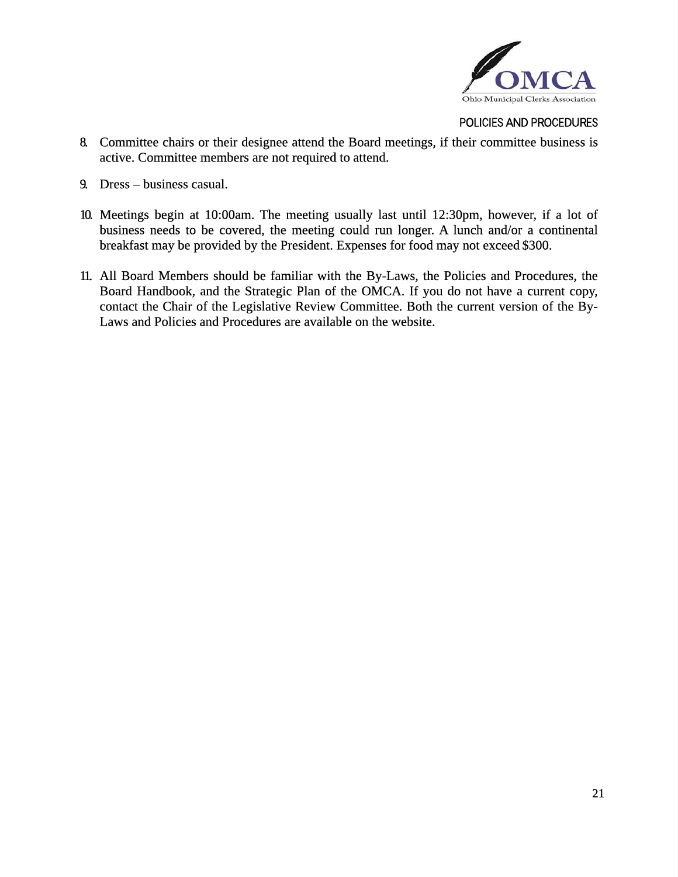

- 8. Committee chairs or their designee attend the Board meetings, if their committee business is active. Committee members are not required to attend.
- 9. Dress business casual.
- 10. Meetings begin at 10:00am. The meeting usually last until 12:30pm, however, if a lot of business needs to be covered, the meeting could run longer. A lunch and/or a continental breakfast may be provided by the President. Expenses for food may not exceed \$300.
- 11. All Board Members should be familiar with the By-Laws, the Policies and Procedures, the Board Handbook, and the Strategic Plan of the OMCA. If you do not have a current copy, contact the Chair of the Legislative Review Committee. Both the current version of the By-Laws and Policies and Procedures are available on the website.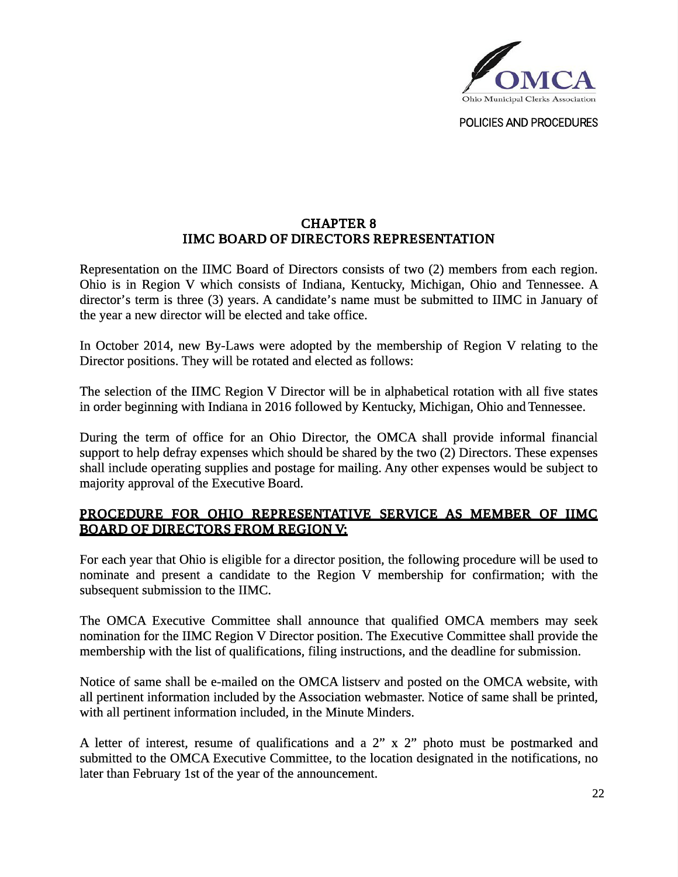

## CHAPTER 8 IIMC BOARD OF DIRECTORS REPRESENTATION

Representation on the IIMC Board of Directors consists of two (2) members from each region. Ohio is in Region V which consists of Indiana, Kentucky, Michigan, Ohio and Tennessee. A director's term is three (3) years. A candidate's name must be submitted to IIMC in January of the year a new director will be elected and take office.

In October 2014, new By-Laws were adopted by the membership of Region V relating to the Director positions. They will be rotated and elected as follows:

The selection of the IIMC Region V Director will be in alphabetical rotation with all five states in order beginning with Indiana in 2016 followed by Kentucky, Michigan, Ohio and Tennessee.

During the term of office for an Ohio Director, the OMCA shall provide informal financial support to help defray expenses which should be shared by the two (2) Directors. These expenses shall include operating supplies and postage for mailing. Any other expenses would be subject to majority approval of the Executive Board.

## PROCEDURE FOR OHIO REPRESENTATIVE SERVICE AS MEMBER OF IIMC BOARD OF DIRECTORS FROM REGION V:

For each year that Ohio is eligible for a director position, the following procedure will be used to nominate and present a candidate to the Region V membership for confirmation; with the subsequent submission to the IIMC.

The OMCA Executive Committee shall announce that qualified OMCA members may seek nomination for the IIMC Region V Director position. The Executive Committee shall provide the membership with the list of qualifications, filing instructions, and the deadline for submission.

Notice of same shall be e-mailed on the OMCA listserv and posted on the OMCA website, with all pertinent information included by the Association webmaster. Notice of same shall be printed, with all pertinent information included, in the Minute Minders.

A letter of interest, resume of qualifications and a 2" x 2" photo must be postmarked and submitted to the OMCA Executive Committee, to the location designated in the notifications, no later than February 1st of the year of the announcement.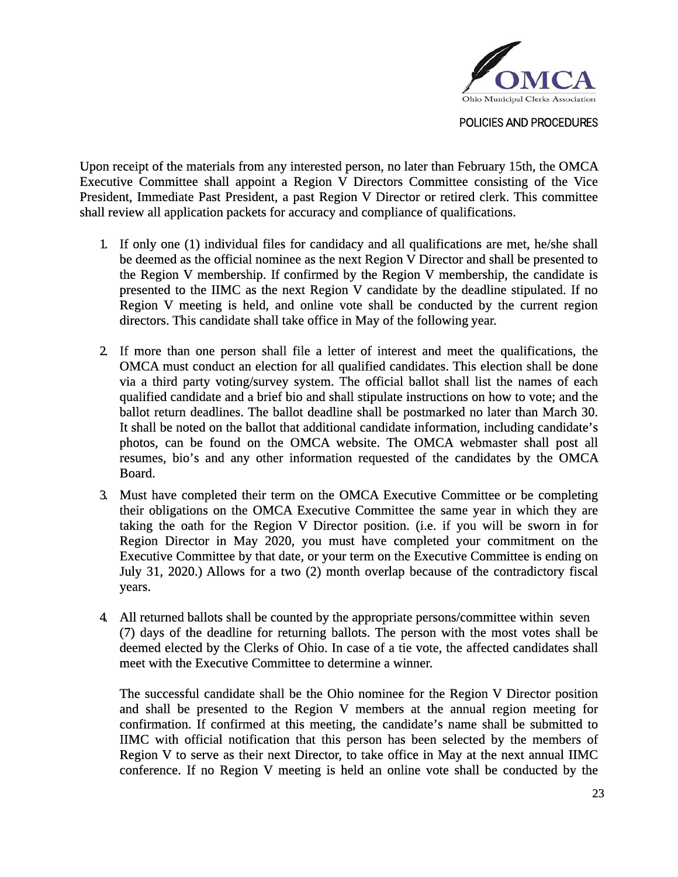

Upon receipt of the materials from any interested person, no later than February 15th, the OMCA Executive Committee shall appoint a Region V Directors Committee consisting of the Vice President, Immediate Past President, a past Region V Director or retired clerk. This committee shall review all application packets for accuracy and compliance of qualifications.

- 1. If only one (1) individual files for candidacy and all qualifications are met, he/she shall be deemed as the official nominee as the next Region V Director and shall be presented to the Region V membership. If confirmed by the Region V membership, the candidate is presented to the IIMC as the next Region V candidate by the deadline stipulated. If no Region V meeting is held, and online vote shall be conducted by the current region directors. This candidate shall take office in May of the following year.
- 2. If more than one person shall file a letter of interest and meet the qualifications, the OMCA must conduct an election for all qualified candidates. This election shall be done via a third party voting/survey system. The official ballot shall list the names of each qualified candidate and a brief bio and shall stipulate instructions on how to vote; and the ballot return deadlines. The ballot deadline shall be postmarked no later than March 30. It shall be noted on the ballot that additional candidate information, including candidate's photos, can be found on the OMCA website. The OMCA webmaster shall post all resumes, bio's and any other information requested of the candidates by the OMCA Board.
- 3. Must have completed their term on the OMCA Executive Committee or be completing their obligations on the OMCA Executive Committee the same year in which they are taking the oath for the Region V Director position. (i.e. if you will be sworn in for Region Director in May 2020, you must have completed your commitment on the Executive Committee by that date, or your term on the Executive Committee is ending on July 31, 2020.) Allows for a two (2) month overlap because of the contradictory fiscal years.
- 4. All returned ballots shall be counted by the appropriate persons/committee within seven (7) days of the deadline for returning ballots. The person with the most votes shall be deemed elected by the Clerks of Ohio. In case of a tie vote, the affected candidates shall meet with the Executive Committee to determine a winner.

The successful candidate shall be the Ohio nominee for the Region V Director position and shall be presented to the Region V members at the annual region meeting for confirmation. If confirmed at this meeting, the candidate's name shall be submitted to IIMC with official notification that this person has been selected by the members of Region V to serve as their next Director, to take office in May at the next annual IIMC conference. If no Region V meeting is held an online vote shall be conducted by the